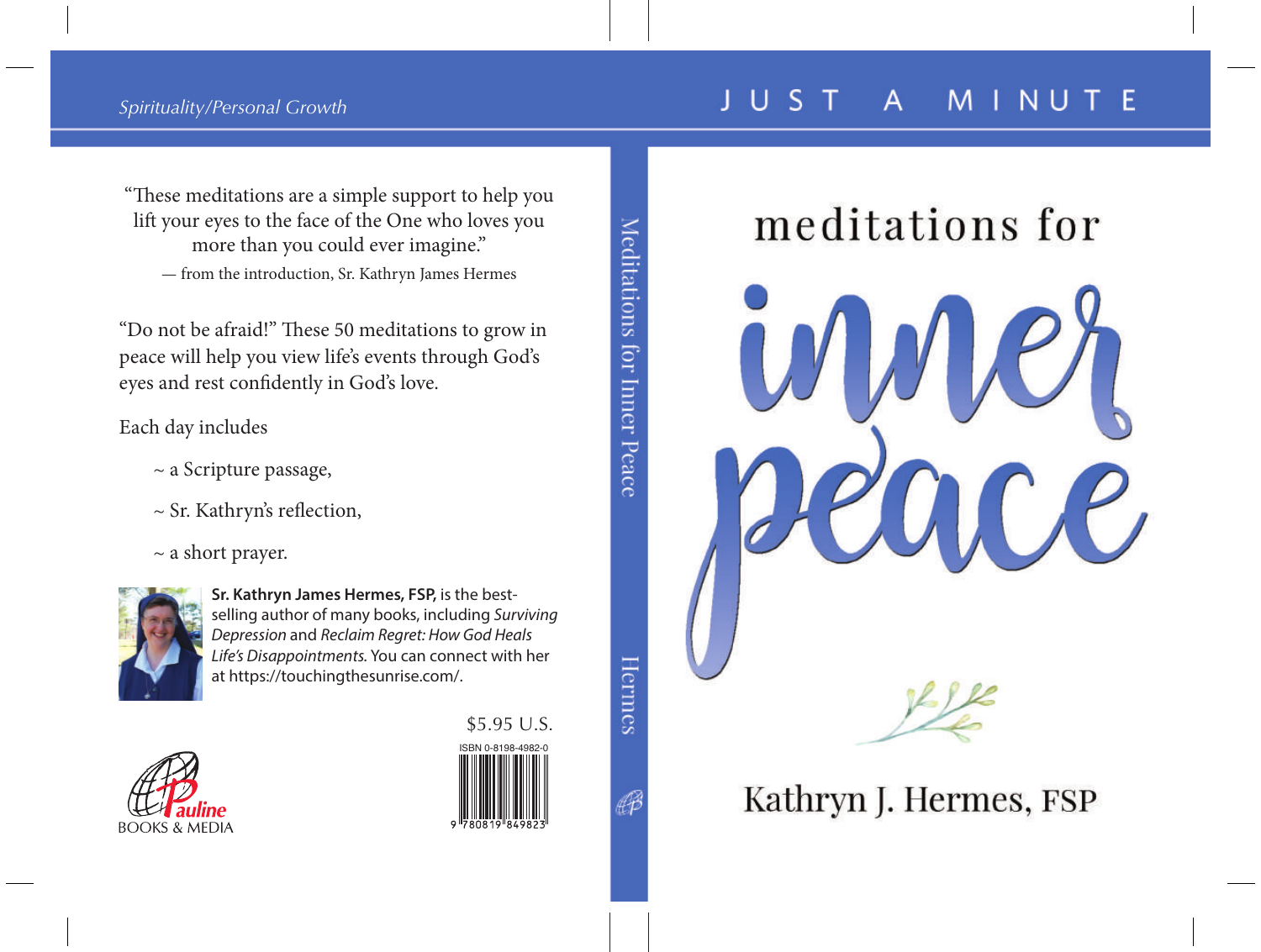### meditations for



Kathryn J. Hermes, FSP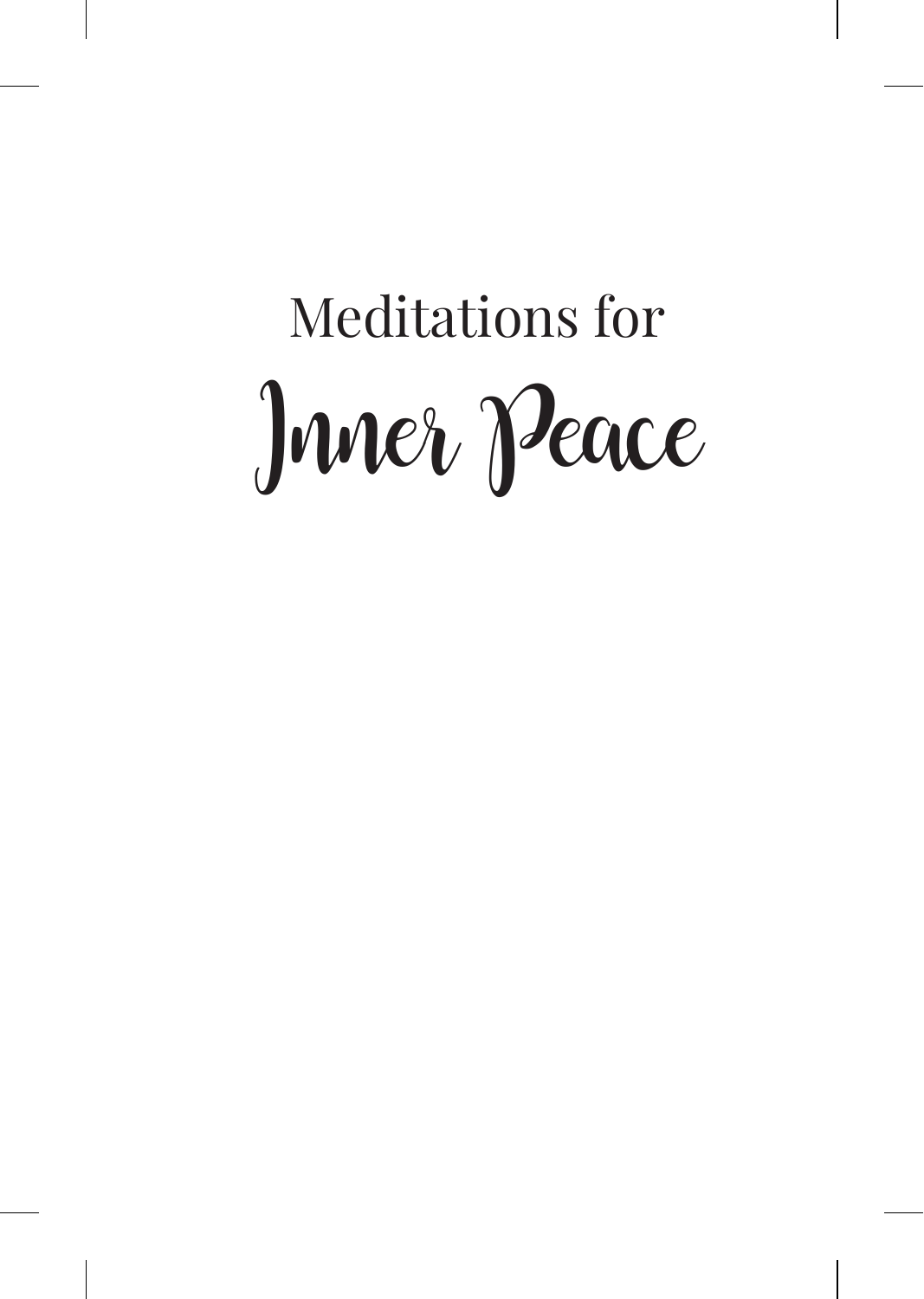# Meditations for Inner Peace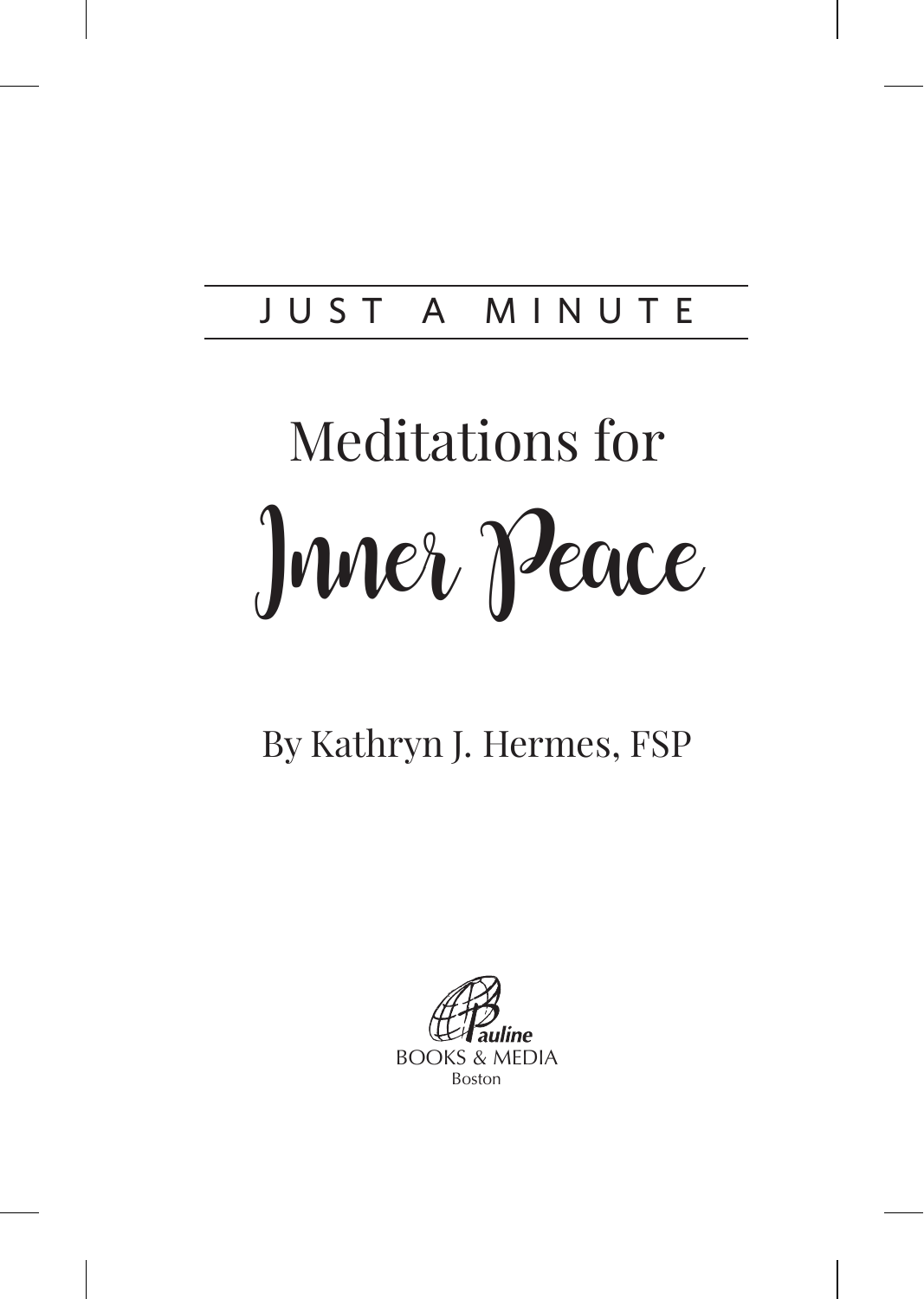#### JUST A MINUTE

# Meditations for Inner Peace

#### By Kathryn J. Hermes, FSP

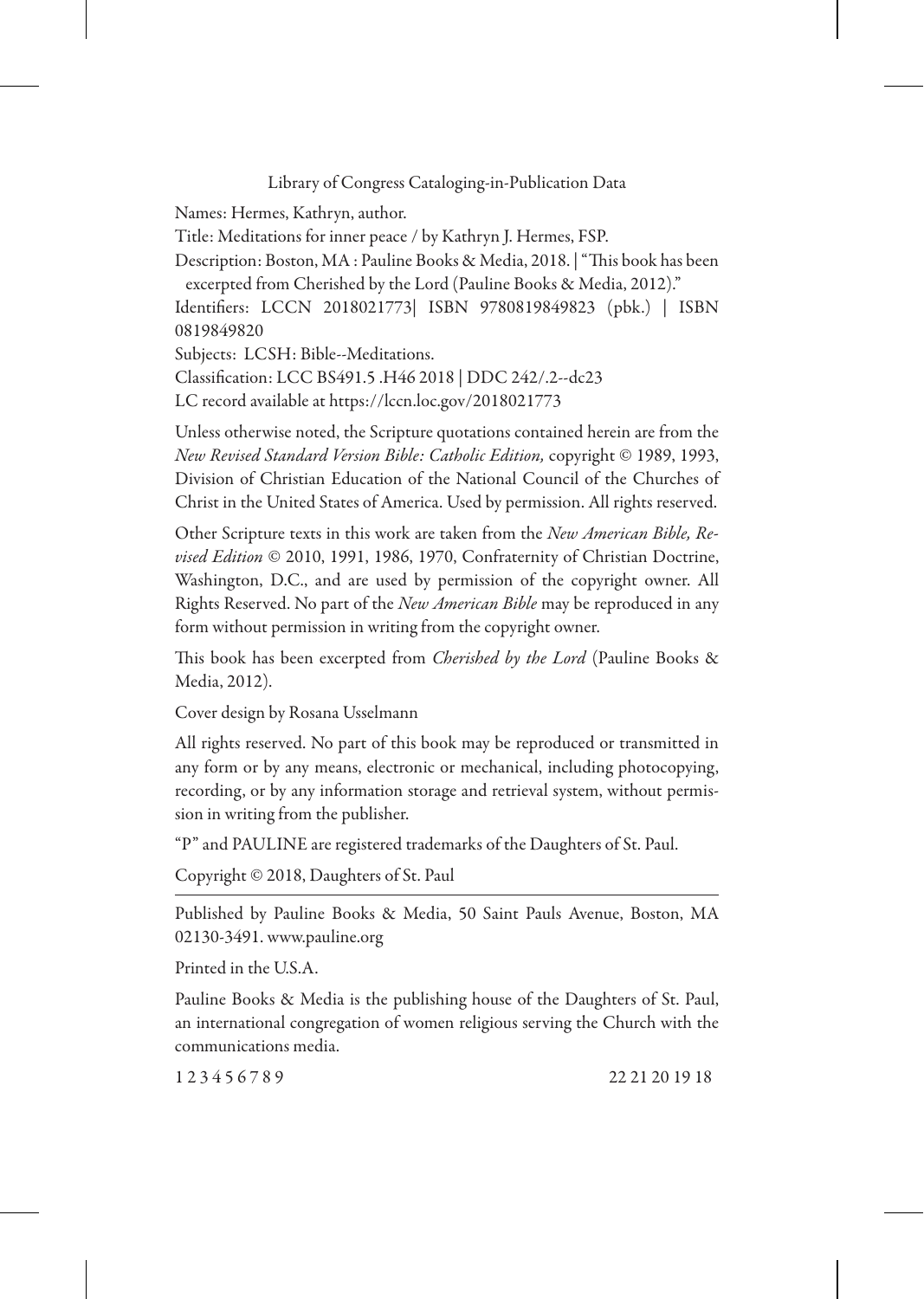Library of Congress Cataloging-in-Publication Data

Names: Hermes, Kathryn, author.

Title: Meditations for inner peace / by Kathryn J. Hermes, FSP.

Description: Boston, MA : Pauline Books & Media, 2018. | "This book has been excerpted from Cherished by the Lord (Pauline Books & Media, 2012)."

Identifiers: LCCN 2018021773| ISBN 9780819849823 (pbk.) | ISBN 0819849820

Subjects: LCSH: Bible--Meditations.

Classification: LCC BS491.5 .H46 2018 | DDC 242/.2--dc23

LC record available at https://lccn.loc.gov/2018021773

Unless otherwise noted, the Scripture quotations contained herein are from the *New Revised Standard Version Bible: Catholic Edition,* copyright © 1989, 1993, Division of Christian Education of the National Council of the Churches of Christ in the United States of America. Used by permission. All rights reserved.

Other Scripture texts in this work are taken from the *New American Bible, Revised Edition* © 2010, 1991, 1986, 1970, Confraternity of Christian Doctrine, Washington, D.C., and are used by permission of the copyright owner. All Rights Reserved. No part of the *New American Bible* may be reproduced in any form without permission in writing from the copyright owner.

This book has been excerpted from *Cherished by the Lord* (Pauline Books & Media, 2012).

Cover design by Rosana Usselmann

All rights reserved. No part of this book may be reproduced or transmitted in any form or by any means, electronic or mechanical, including photocopying, recording, or by any information storage and retrieval system, without permission in writing from the publisher.

"P" and PAULINE are registered trademarks of the Daughters of St. Paul.

Copyright © 2018, Daughters of St. Paul

Published by Pauline Books & Media, 50 Saint Pauls Avenue, Boston, MA 02130-3491. www.pauline.org

Printed in the U.S.A.

Pauline Books & Media is the publishing house of the Daughters of St. Paul, an international congregation of women religious serving the Church with the communications media.

1 2 3 4 5 6 7 8 9 22 21 20 19 18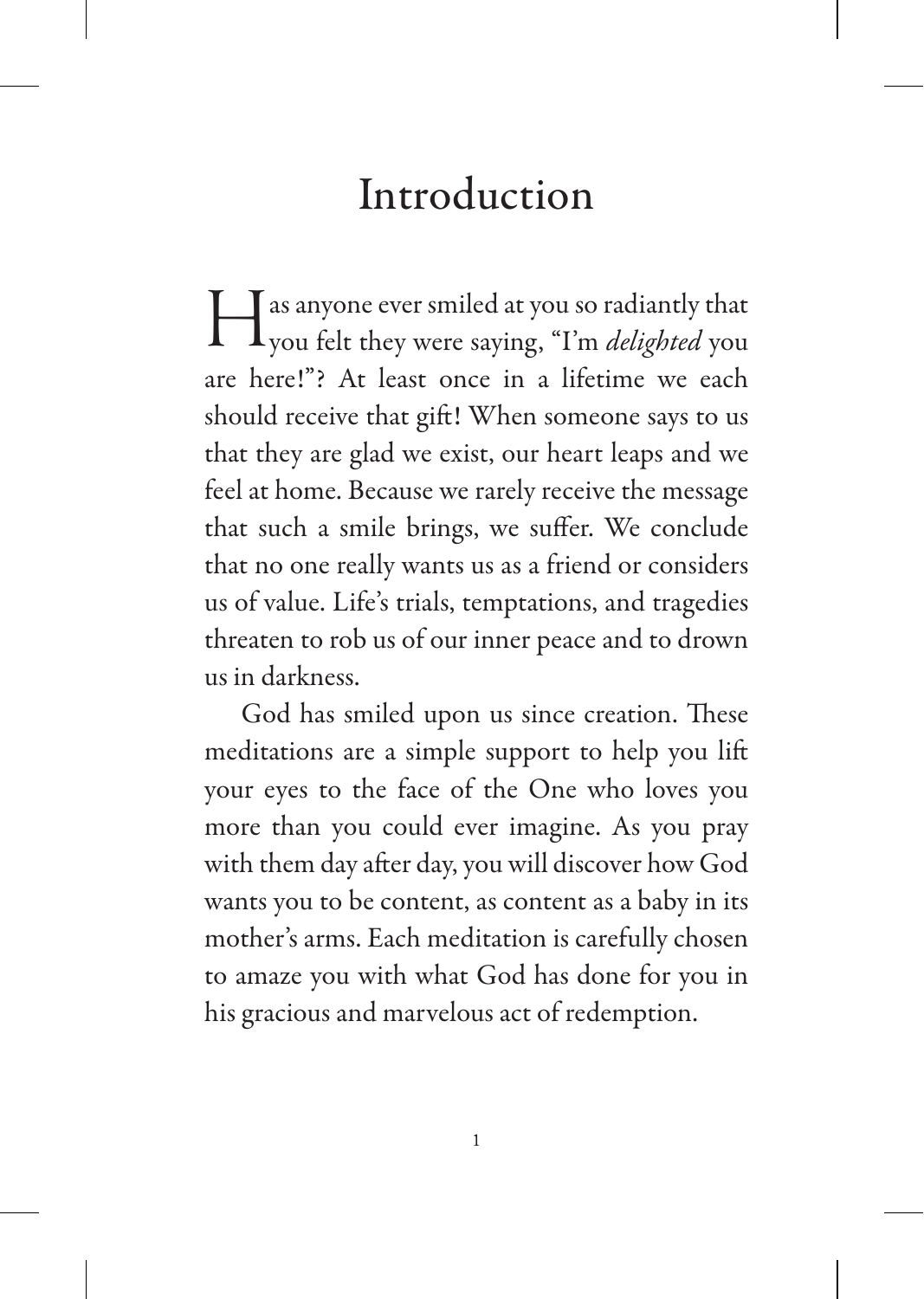### Introduction

Has anyone ever smiled at you so radiantly that you felt they were saying, "I'm *delighted* you are here!"? At least once in a lifetime we each should receive that gift! When someone says to us that they are glad we exist, our heart leaps and we feel at home. Because we rarely receive the message that such a smile brings, we suffer. We conclude that no one really wants us as a friend or considers us of value. Life's trials, temptations, and tragedies threaten to rob us of our inner peace and to drown us in darkness.

God has smiled upon us since creation. These meditations are a simple support to help you lift your eyes to the face of the One who loves you more than you could ever imagine. As you pray with them day after day, you will discover how God wants you to be content, as content as a baby in its mother's arms. Each meditation is carefully chosen to amaze you with what God has done for you in his gracious and marvelous act of redemption.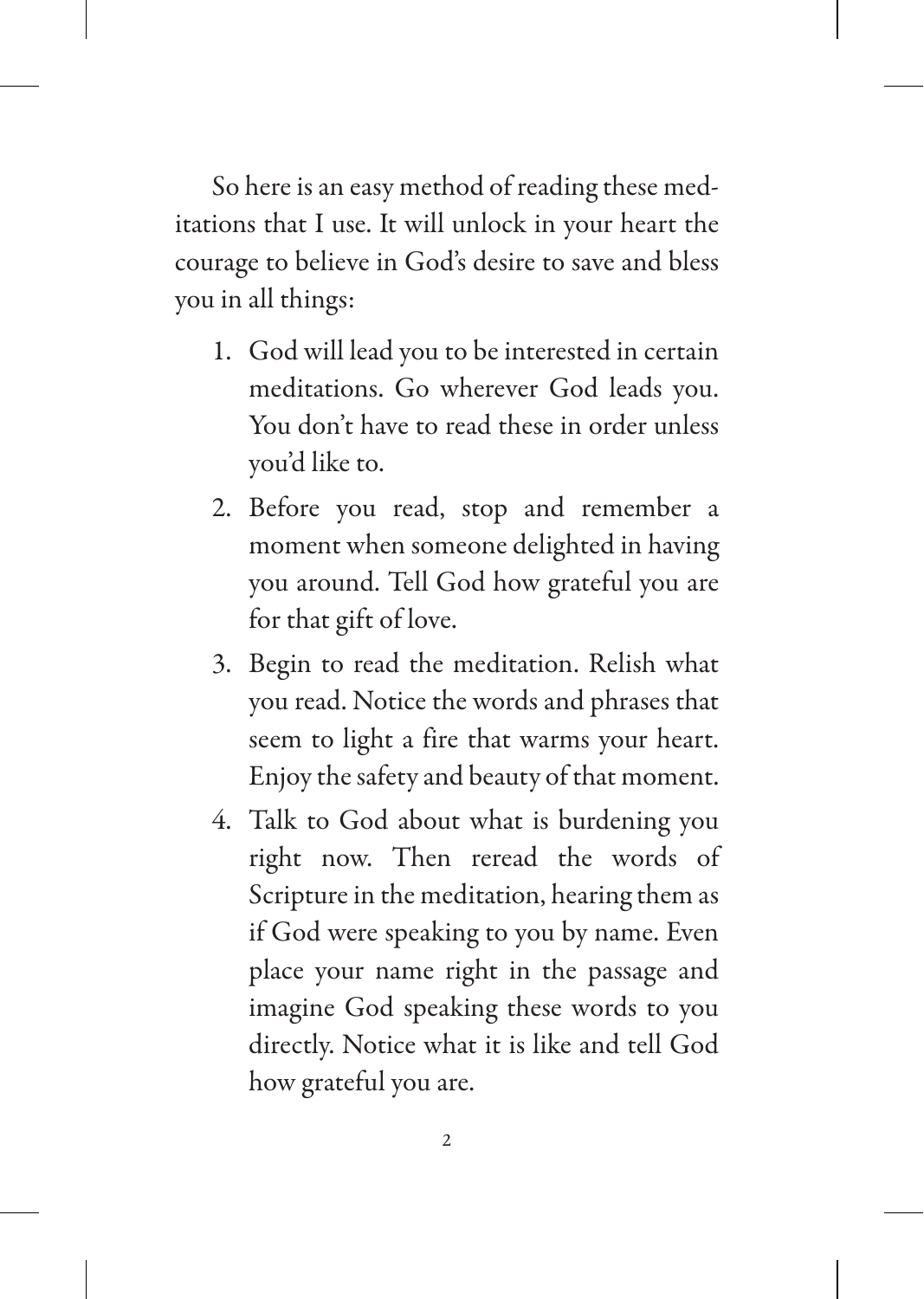So here is an easy method of reading these meditations that I use. It will unlock in your heart the courage to believe in God's desire to save and bless you in all things:

- 1. God will lead you to be interested in certain meditations. Go wherever God leads you. You don't have to read these in order unless you'd like to.
- 2. Before you read, stop and remember a moment when someone delighted in having you around. Tell God how grateful you are for that gift of love.
- 3. Begin to read the meditation. Relish what you read. Notice the words and phrases that seem to light a fire that warms your heart. Enjoy the safety and beauty of that moment.
- 4. Talk to God about what is burdening you right now. Then reread the words of Scripture in the meditation, hearing them as if God were speaking to you by name. Even place your name right in the passage and imagine God speaking these words to you directly. Notice what it is like and tell God how grateful you are.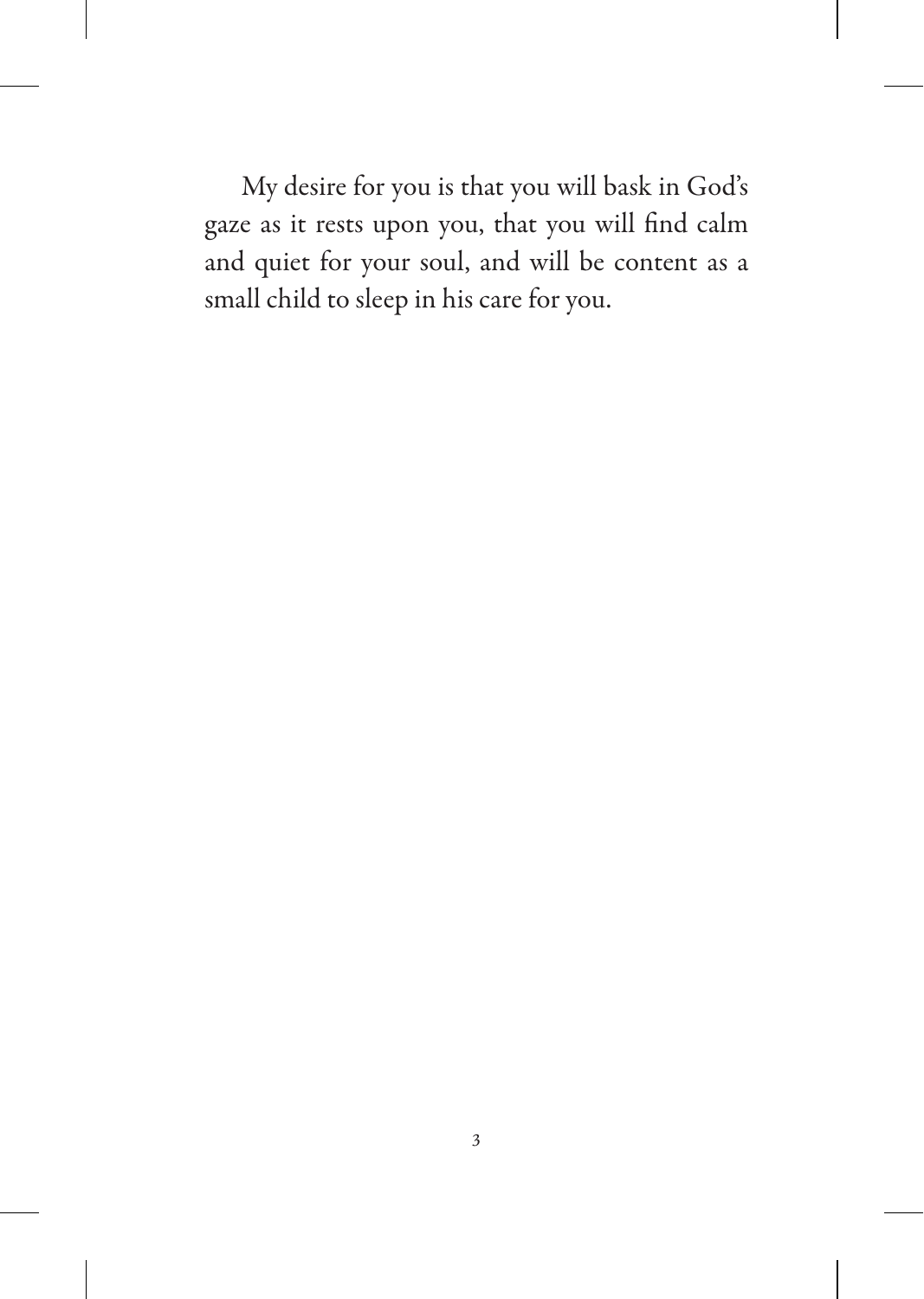My desire for you is that you will bask in God's gaze as it rests upon you, that you will find calm and quiet for your soul, and will be content as a small child to sleep in his care for you.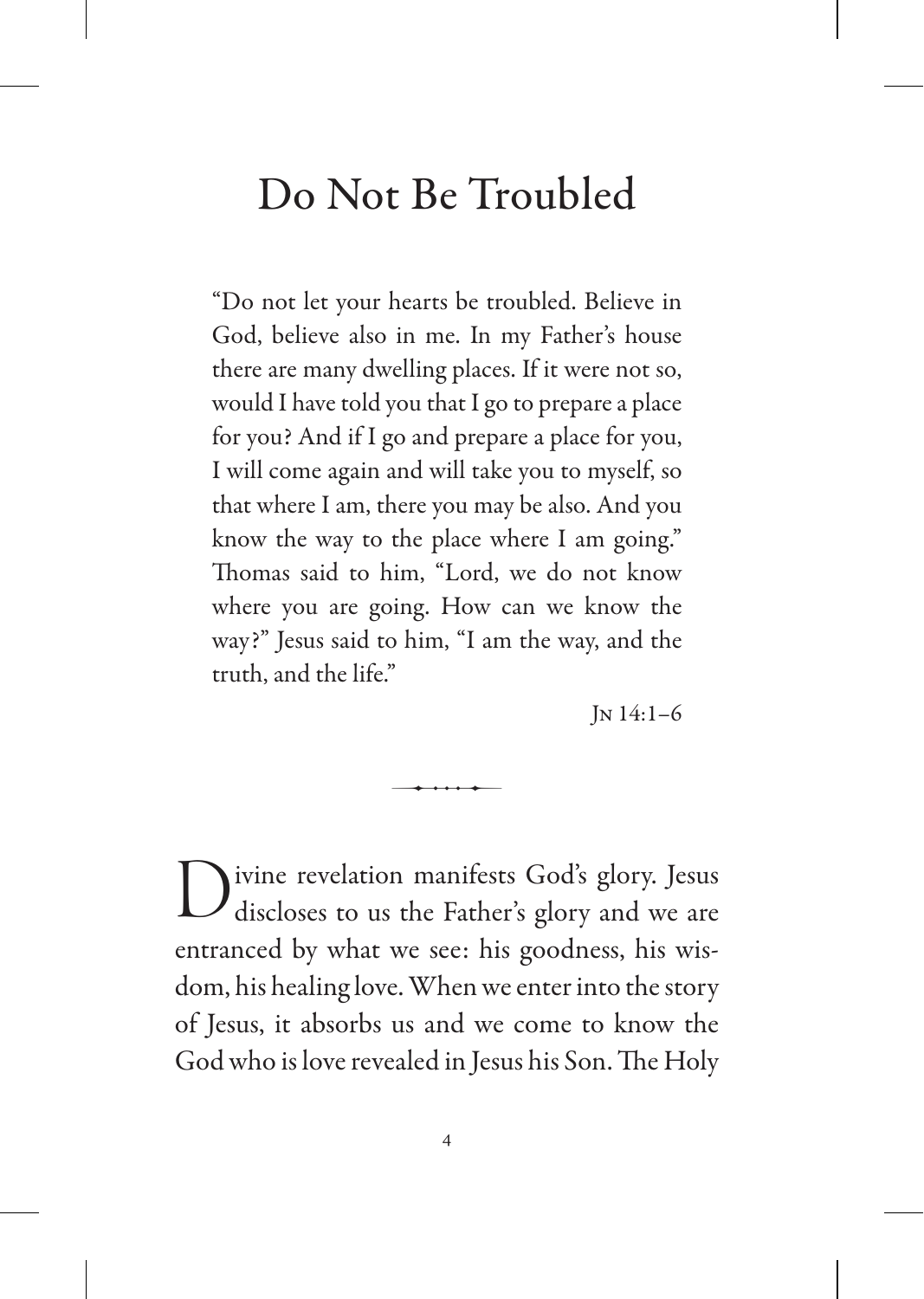### Do Not Be Troubled

"Do not let your hearts be troubled. Believe in God, believe also in me. In my Father's house there are many dwelling places. If it were not so, would I have told you that I go to prepare a place for you? And if I go and prepare a place for you, I will come again and will take you to myself, so that where I am, there you may be also. And you know the way to the place where I am going." Thomas said to him, "Lord, we do not know where you are going. How can we know the way?" Jesus said to him, "I am the way, and the truth, and the life."

Jn 14:1–6

Divine revelation manifests God's glory. Jesus discloses to us the Father's glory and we are entranced by what we see: his goodness, his wisdom, his healing love. When we enter into the story of Jesus, it absorbs us and we come to know the God who is love revealed in Jesus his Son. The Holy

 $\overline{\phantom{a}}$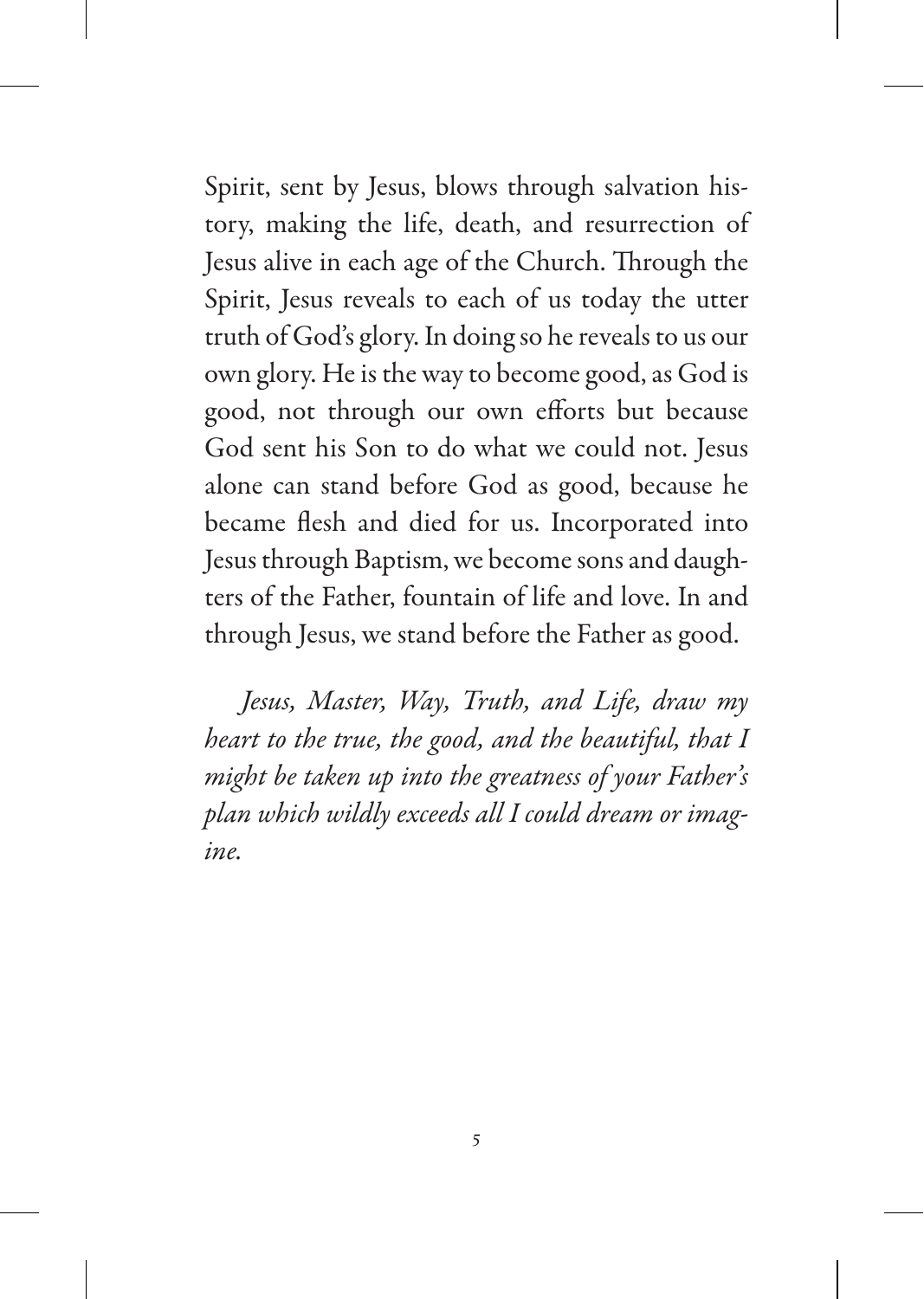Spirit, sent by Jesus, blows through salvation history, making the life, death, and resurrection of Jesus alive in each age of the Church. Through the Spirit, Jesus reveals to each of us today the utter truth of God's glory. In doing so he reveals to us our own glory. He is the way to become good, as God is good, not through our own efforts but because God sent his Son to do what we could not. Jesus alone can stand before God as good, because he became flesh and died for us. Incorporated into Jesus through Baptism, we become sons and daughters of the Father, fountain of life and love. In and through Jesus, we stand before the Father as good.

*Jesus, Master, Way, Truth, and Life, draw my heart to the true, the good, and the beautiful, that I might be taken up into the greatness of your Father's plan which wildly exceeds all I could dream or imagine.*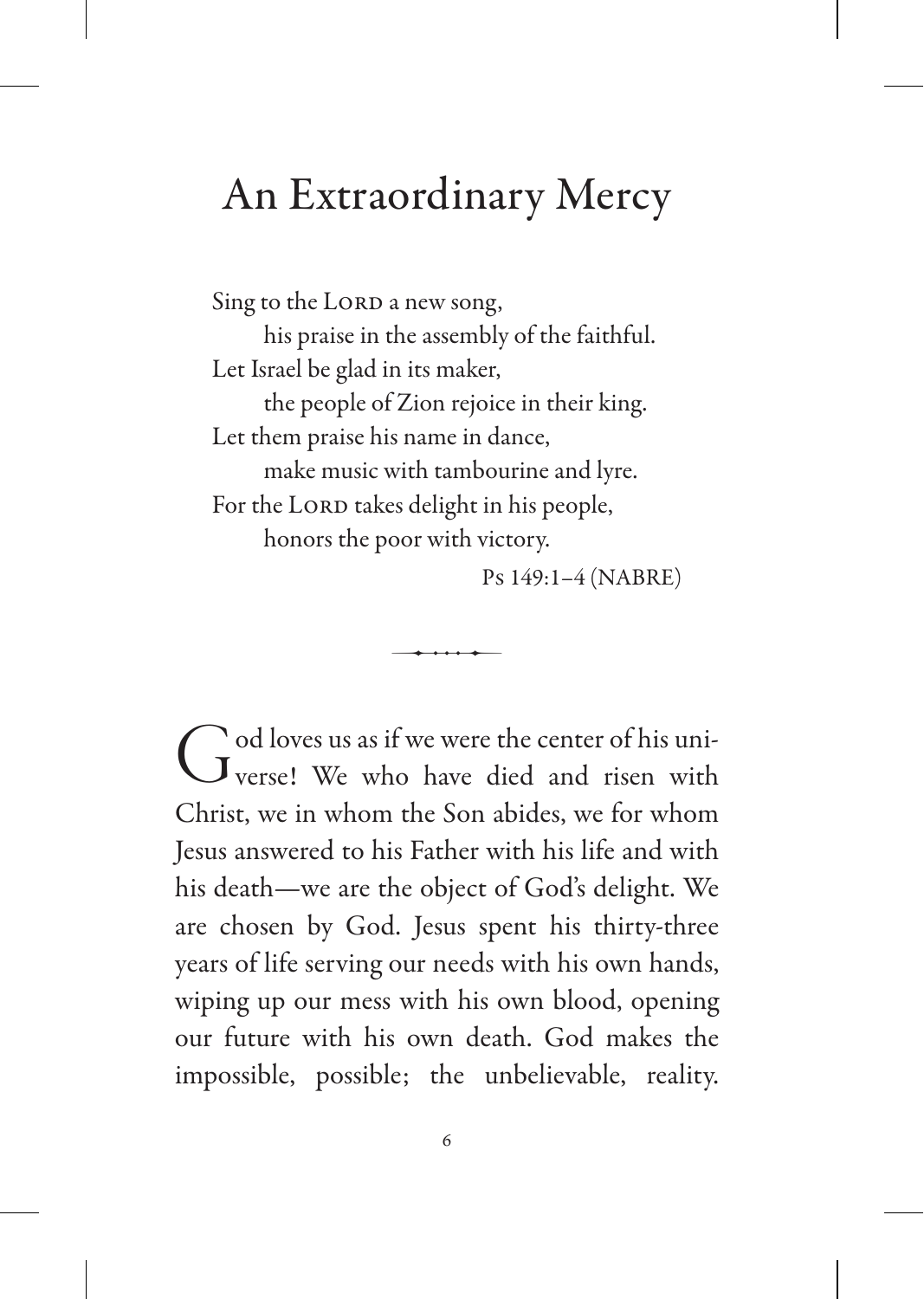#### An Extraordinary Mercy

Sing to the LORD a new song, his praise in the assembly of the faithful. Let Israel be glad in its maker, the people of Zion rejoice in their king. Let them praise his name in dance, make music with tambourine and lyre. For the LORD takes delight in his people, honors the poor with victory.

Ps 149:1–4 (NABRE)

God loves us as if we were the center of his uni-<br>Verse! We who have died and risen with Christ, we in whom the Son abides, we for whom Jesus answered to his Father with his life and with his death—we are the object of God's delight. We are chosen by God. Jesus spent his thirty-three years of life serving our needs with his own hands, wiping up our mess with his own blood, opening our future with his own death. God makes the impossible, possible; the unbelievable, reality.

 $\overline{\phantom{a}}$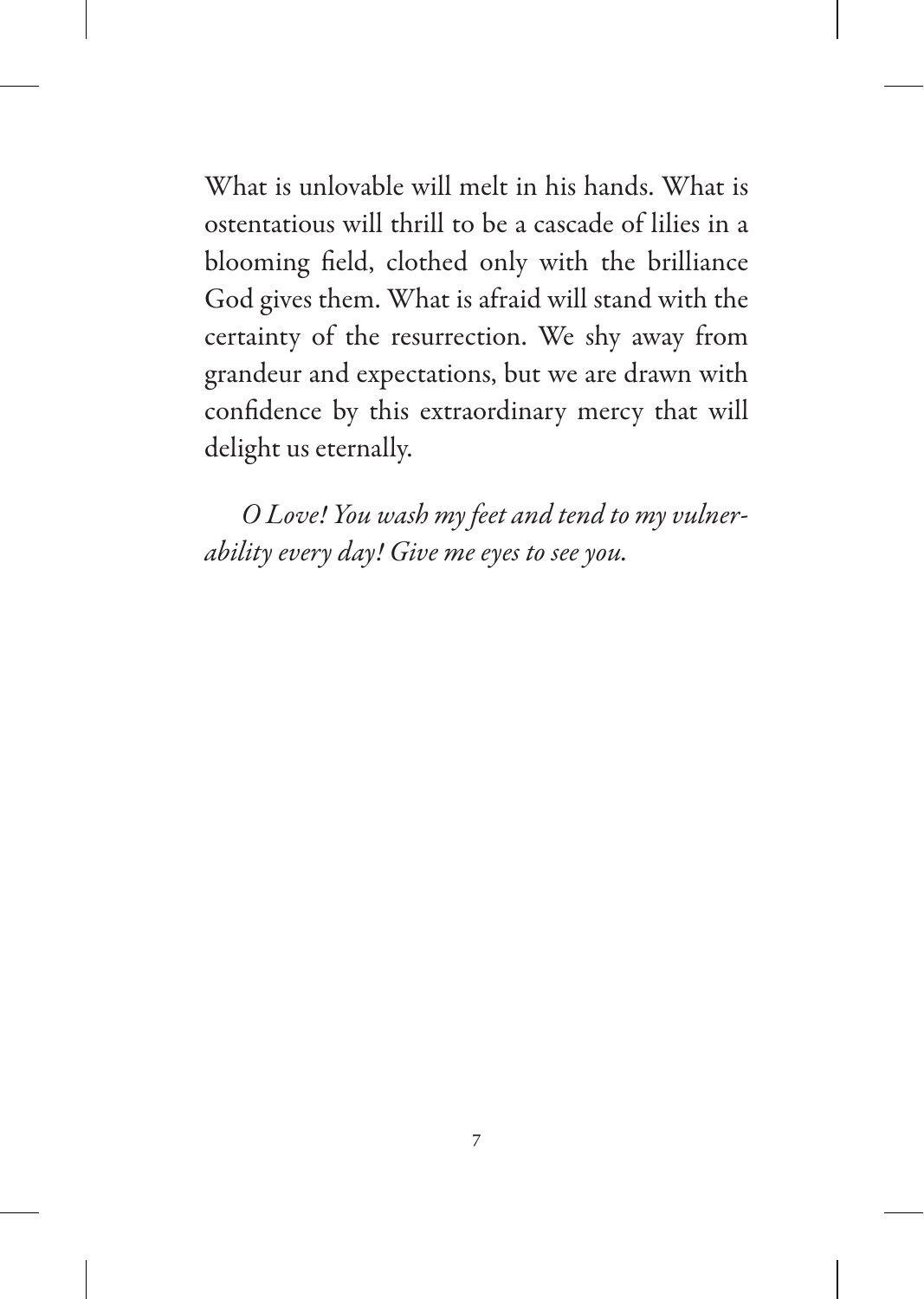What is unlovable will melt in his hands. What is ostentatious will thrill to be a cascade of lilies in a blooming field, clothed only with the brilliance God gives them. What is afraid will stand with the certainty of the resurrection. We shy away from grandeur and expectations, but we are drawn with confidence by this extraordinary mercy that will delight us eternally.

*O Love! You wash my feet and tend to my vulnerability every day! Give me eyes to see you.*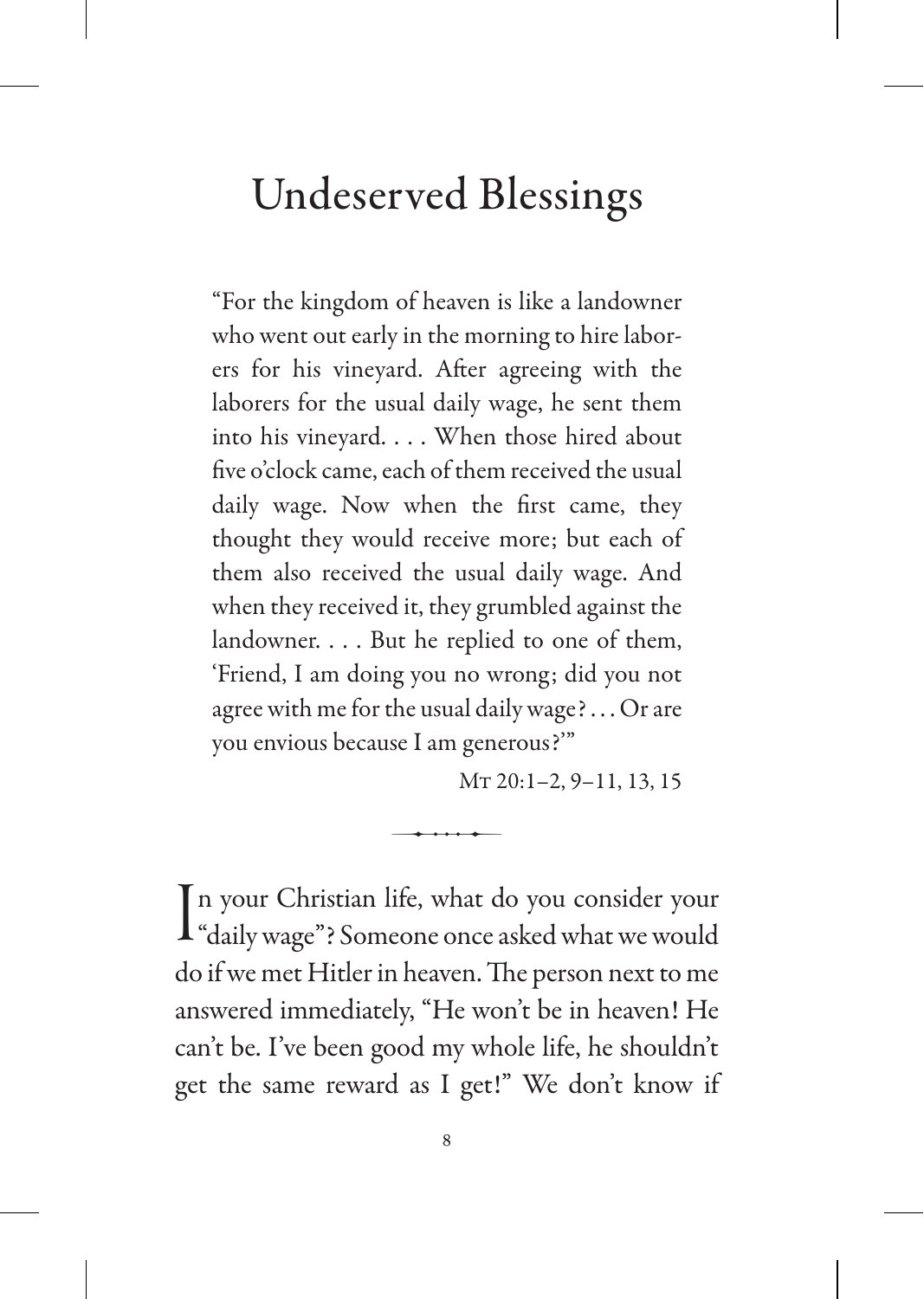### Undeserved Blessings

"For the kingdom of heaven is like a landowner who went out early in the morning to hire laborers for his vineyard. After agreeing with the laborers for the usual daily wage, he sent them into his vineyard. . . . When those hired about five o'clock came, each of them received the usual daily wage. Now when the first came, they thought they would receive more; but each of them also received the usual daily wage. And when they received it, they grumbled against the landowner. . . . But he replied to one of them, 'Friend, I am doing you no wrong; did you not agree with me for the usual daily wage? . . . Or are you envious because I am generous?'"

Mt 20:1–2, 9–11, 13, 15

In your Christian life, what do you consider your<br>
"daily wage"? Someone once asked what we would "daily wage"? Someone once asked what we would do if we met Hitler in heaven. The person next to me answered immediately, "He won't be in heaven! He can't be. I've been good my whole life, he shouldn't get the same reward as I get!" We don't know if

 $\overline{\phantom{a}}$